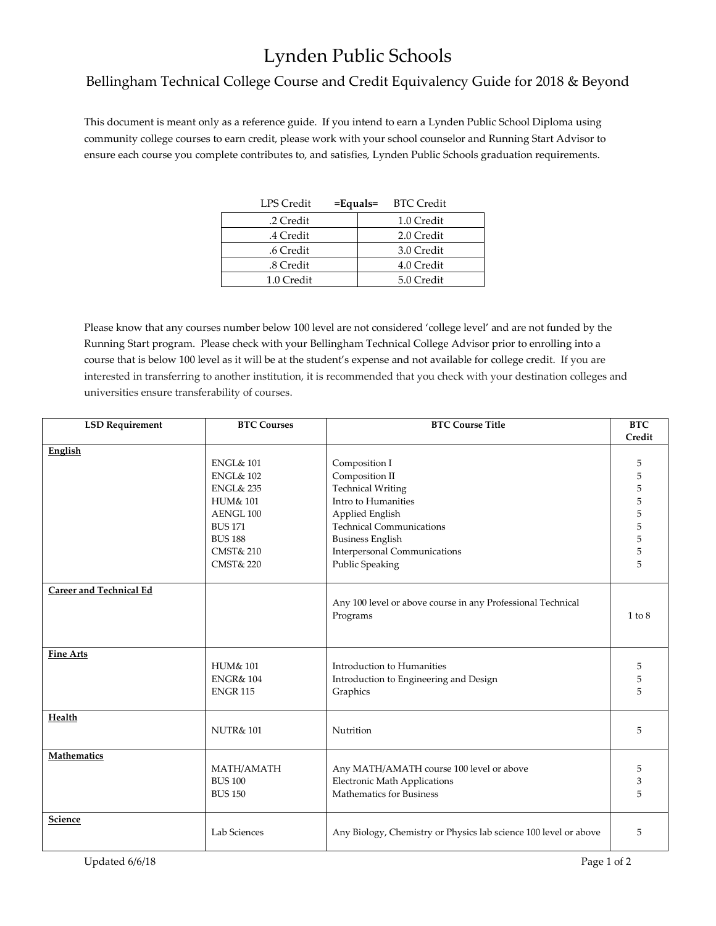## Lynden Public Schools

## Bellingham Technical College Course and Credit Equivalency Guide for 2018 & Beyond

This document is meant only as a reference guide. If you intend to earn a Lynden Public School Diploma using community college courses to earn credit, please work with your school counselor and Running Start Advisor to ensure each course you complete contributes to, and satisfies, Lynden Public Schools graduation requirements.

| LPS Credit | $=$ Equals $=$ BTC Credit |
|------------|---------------------------|
| .2 Credit  | 1.0 Credit                |
| .4 Credit  | 2.0 Credit                |
| .6 Credit  | 3.0 Credit                |
| .8 Credit  | 4.0 Credit                |
| 1.0 Credit | 5.0 Credit                |

Please know that any courses number below 100 level are not considered 'college level' and are not funded by the Running Start program. Please check with your Bellingham Technical College Advisor prior to enrolling into a course that is below 100 level as it will be at the student's expense and not available for college credit. If you are interested in transferring to another institution, it is recommended that you check with your destination colleges and universities ensure transferability of courses.

| <b>LSD Requirement</b>         | <b>BTC Courses</b>   | <b>BTC Course Title</b>                                                 | <b>BTC</b> |
|--------------------------------|----------------------|-------------------------------------------------------------------------|------------|
|                                |                      |                                                                         | Credit     |
| English                        |                      |                                                                         |            |
|                                | <b>ENGL&amp; 101</b> | Composition I                                                           | 5          |
|                                | <b>ENGL&amp; 102</b> | Composition II                                                          | 5          |
|                                | <b>ENGL&amp; 235</b> | <b>Technical Writing</b>                                                |            |
|                                | <b>HUM&amp; 101</b>  | Intro to Humanities                                                     |            |
|                                | AENGL 100            | Applied English                                                         |            |
|                                | <b>BUS 171</b>       | <b>Technical Communications</b>                                         |            |
|                                | <b>BUS 188</b>       | <b>Business English</b>                                                 |            |
|                                | <b>CMST&amp; 210</b> | <b>Interpersonal Communications</b>                                     |            |
|                                | <b>CMST&amp; 220</b> | <b>Public Speaking</b>                                                  | 5          |
|                                |                      |                                                                         |            |
| <b>Career and Technical Ed</b> |                      | Any 100 level or above course in any Professional Technical<br>Programs | $1$ to $8$ |
| <b>Fine Arts</b>               |                      |                                                                         |            |
|                                | <b>HUM&amp; 101</b>  | Introduction to Humanities                                              | 5          |
|                                | <b>ENGR&amp; 104</b> | Introduction to Engineering and Design                                  | 5          |
|                                | <b>ENGR 115</b>      | Graphics                                                                | 5          |
|                                |                      |                                                                         |            |
| Health                         | <b>NUTR&amp;101</b>  | Nutrition                                                               | 5          |
| <b>Mathematics</b>             |                      |                                                                         |            |
|                                | MATH/AMATH           | Any MATH/AMATH course 100 level or above                                | 5          |
|                                | <b>BUS 100</b>       | <b>Electronic Math Applications</b>                                     | 3          |
|                                | <b>BUS 150</b>       | Mathematics for Business                                                | 5          |
| <b>Science</b>                 | Lab Sciences         | Any Biology, Chemistry or Physics lab science 100 level or above        | 5          |